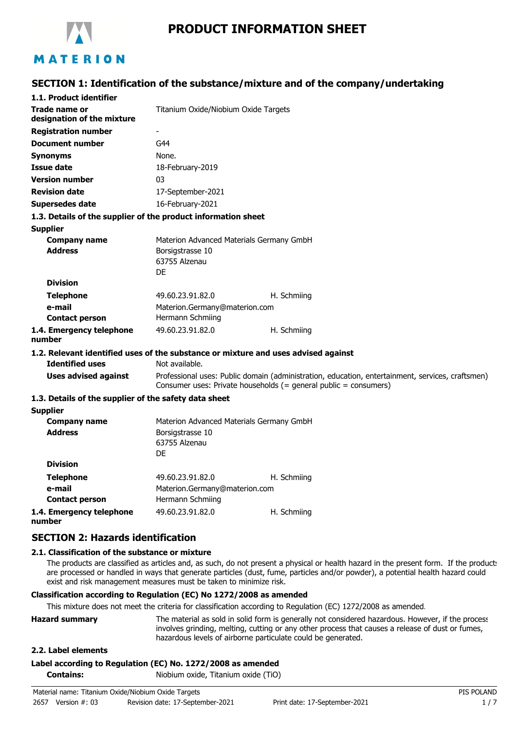

# **PRODUCT INFORMATION SHEET**

## **SECTION 1: Identification of the substance/mixture and of the company/undertaking**

| 1.1. Product identifier                                       |                                                                               |                                                                                                                                                                      |
|---------------------------------------------------------------|-------------------------------------------------------------------------------|----------------------------------------------------------------------------------------------------------------------------------------------------------------------|
| Trade name or<br>designation of the mixture                   | Titanium Oxide/Niobium Oxide Targets                                          |                                                                                                                                                                      |
| <b>Registration number</b>                                    |                                                                               |                                                                                                                                                                      |
| <b>Document number</b>                                        | G44                                                                           |                                                                                                                                                                      |
| <b>Synonyms</b>                                               | None.                                                                         |                                                                                                                                                                      |
| <b>Issue date</b>                                             | 18-February-2019                                                              |                                                                                                                                                                      |
| <b>Version number</b>                                         | 03                                                                            |                                                                                                                                                                      |
| <b>Revision date</b>                                          | 17-September-2021                                                             |                                                                                                                                                                      |
| <b>Supersedes date</b>                                        | 16-February-2021                                                              |                                                                                                                                                                      |
| 1.3. Details of the supplier of the product information sheet |                                                                               |                                                                                                                                                                      |
| <b>Supplier</b>                                               |                                                                               |                                                                                                                                                                      |
| <b>Company name</b><br><b>Address</b>                         | Materion Advanced Materials Germany GmbH<br>Borsigstrasse 10<br>63755 Alzenau |                                                                                                                                                                      |
|                                                               | DE                                                                            |                                                                                                                                                                      |
| <b>Division</b>                                               |                                                                               |                                                                                                                                                                      |
| <b>Telephone</b>                                              | 49.60.23.91.82.0                                                              | H. Schmiing                                                                                                                                                          |
| e-mail                                                        | Materion.Germany@materion.com                                                 |                                                                                                                                                                      |
| <b>Contact person</b>                                         | Hermann Schmiing                                                              |                                                                                                                                                                      |
| 1.4. Emergency telephone<br>number                            | 49.60.23.91.82.0                                                              | H. Schmiing                                                                                                                                                          |
|                                                               |                                                                               | 1.2. Relevant identified uses of the substance or mixture and uses advised against                                                                                   |
| <b>Identified uses</b>                                        | Not available.                                                                |                                                                                                                                                                      |
| <b>Uses advised against</b>                                   |                                                                               | Professional uses: Public domain (administration, education, entertainment, services, craftsmen)<br>Consumer uses: Private households (= general public = consumers) |
| 1.3. Details of the supplier of the safety data sheet         |                                                                               |                                                                                                                                                                      |
| <b>Supplier</b>                                               |                                                                               |                                                                                                                                                                      |
| <b>Company name</b>                                           | Materion Advanced Materials Germany GmbH                                      |                                                                                                                                                                      |
| <b>Address</b>                                                | Borsigstrasse 10<br>63755 Alzenau<br>DE                                       |                                                                                                                                                                      |
| <b>Division</b>                                               |                                                                               |                                                                                                                                                                      |
| <b>Telephone</b>                                              | 49.60.23.91.82.0                                                              | H. Schmiing                                                                                                                                                          |
| e-mail                                                        | Materion.Germany@materion.com                                                 |                                                                                                                                                                      |
| <b>Contact person</b>                                         | Hermann Schmiing                                                              |                                                                                                                                                                      |
| 1.4. Emergency telephone                                      | 49.60.23.91.82.0                                                              | H. Schmiing                                                                                                                                                          |

**1.4. Emergency telephone number**

## **SECTION 2: Hazards identification**

#### **2.1. Classification of the substance or mixture**

The products are classified as articles and, as such, do not present a physical or health hazard in the present form. If the product: are processed or handled in ways that generate particles (dust, fume, particles and/or powder), a potential health hazard could exist and risk management measures must be taken to minimize risk.

### **Classification according to Regulation (EC) No 1272/2008 as amended**

This mixture does not meet the criteria for classification according to Regulation (EC) 1272/2008 as amended.

| <b>Hazard summary</b> | The material as sold in solid form is generally not considered hazardous. However, if the process |
|-----------------------|---------------------------------------------------------------------------------------------------|
|                       | involves grinding, melting, cutting or any other process that causes a release of dust or fumes,  |
|                       | hazardous levels of airborne particulate could be generated.                                      |

#### **2.2. Label elements**

#### **Label according to Regulation (EC) No. 1272/2008 as amended**

**Contains:** Niobium oxide, Titanium oxide (TiO)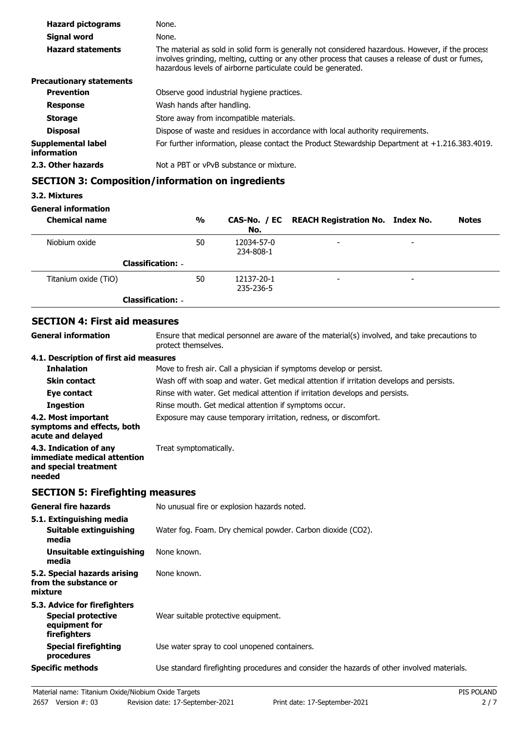| <b>Hazard pictograms</b>          | None.                                                                                                                                                                                                                                                                 |
|-----------------------------------|-----------------------------------------------------------------------------------------------------------------------------------------------------------------------------------------------------------------------------------------------------------------------|
| Signal word                       | None.                                                                                                                                                                                                                                                                 |
| <b>Hazard statements</b>          | The material as sold in solid form is generally not considered hazardous. However, if the process<br>involves grinding, melting, cutting or any other process that causes a release of dust or fumes,<br>hazardous levels of airborne particulate could be generated. |
| <b>Precautionary statements</b>   |                                                                                                                                                                                                                                                                       |
| <b>Prevention</b>                 | Observe good industrial hygiene practices.                                                                                                                                                                                                                            |
| <b>Response</b>                   | Wash hands after handling.                                                                                                                                                                                                                                            |
| <b>Storage</b>                    | Store away from incompatible materials.                                                                                                                                                                                                                               |
| <b>Disposal</b>                   | Dispose of waste and residues in accordance with local authority requirements.                                                                                                                                                                                        |
| Supplemental label<br>information | For further information, please contact the Product Stewardship Department at +1.216.383.4019.                                                                                                                                                                        |
| 2.3. Other hazards                | Not a PBT or vPvB substance or mixture.                                                                                                                                                                                                                               |

# **SECTION 3: Composition/information on ingredients**

## **3.2. Mixtures**

## **General information**

| <b>Chemical name</b>     | %  | No.                     | CAS-No. / EC REACH Registration No. Index No. |                          | <b>Notes</b> |
|--------------------------|----|-------------------------|-----------------------------------------------|--------------------------|--------------|
| Niobium oxide            | 50 | 12034-57-0<br>234-808-1 | $\overline{\phantom{a}}$                      | $\overline{\phantom{0}}$ |              |
| <b>Classification: -</b> |    |                         |                                               |                          |              |
| Titanium oxide (TiO)     | 50 | 12137-20-1<br>235-236-5 | $\overline{\phantom{a}}$                      | $\overline{\phantom{0}}$ |              |
| <b>Classification: -</b> |    |                         |                                               |                          |              |

## **SECTION 4: First aid measures**

| <b>General information</b>                                                               | Ensure that medical personnel are aware of the material(s) involved, and take precautions to<br>protect themselves. |
|------------------------------------------------------------------------------------------|---------------------------------------------------------------------------------------------------------------------|
| 4.1. Description of first aid measures                                                   |                                                                                                                     |
| <b>Inhalation</b>                                                                        | Move to fresh air. Call a physician if symptoms develop or persist.                                                 |
| <b>Skin contact</b>                                                                      | Wash off with soap and water. Get medical attention if irritation develops and persists.                            |
| Eye contact                                                                              | Rinse with water. Get medical attention if irritation develops and persists.                                        |
| <b>Ingestion</b>                                                                         | Rinse mouth. Get medical attention if symptoms occur.                                                               |
| 4.2. Most important<br>symptoms and effects, both<br>acute and delayed                   | Exposure may cause temporary irritation, redness, or discomfort.                                                    |
| 4.3. Indication of any<br>immediate medical attention<br>and special treatment<br>needed | Treat symptomatically.                                                                                              |

# **SECTION 5: Firefighting measures**

| <b>General fire hazards</b>                                                                | No unusual fire or explosion hazards noted.                                                |
|--------------------------------------------------------------------------------------------|--------------------------------------------------------------------------------------------|
| 5.1. Extinguishing media<br>Suitable extinguishing<br>media                                | Water fog. Foam. Dry chemical powder. Carbon dioxide (CO2).                                |
| Unsuitable extinguishing<br>media                                                          | None known.                                                                                |
| 5.2. Special hazards arising<br>from the substance or<br>mixture                           | None known.                                                                                |
| 5.3. Advice for firefighters<br><b>Special protective</b><br>equipment for<br>firefighters | Wear suitable protective equipment.                                                        |
| <b>Special firefighting</b><br>procedures                                                  | Use water spray to cool unopened containers.                                               |
| <b>Specific methods</b>                                                                    | Use standard firefighting procedures and consider the hazards of other involved materials. |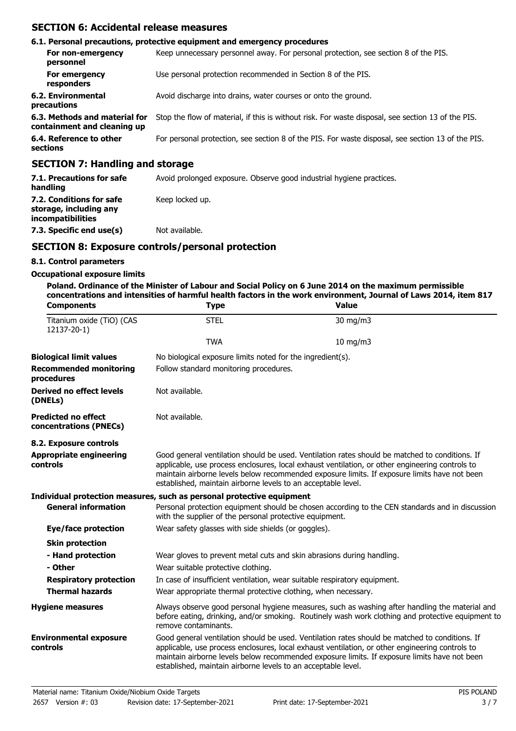## **SECTION 6: Accidental release measures**

|                                                              | 6.1. Personal precautions, protective equipment and emergency procedures                           |  |
|--------------------------------------------------------------|----------------------------------------------------------------------------------------------------|--|
| For non-emergency<br>personnel                               | Keep unnecessary personnel away. For personal protection, see section 8 of the PIS.                |  |
| For emergency<br>responders                                  | Use personal protection recommended in Section 8 of the PIS.                                       |  |
| 6.2. Environmental<br>precautions                            | Avoid discharge into drains, water courses or onto the ground.                                     |  |
| 6.3. Methods and material for<br>containment and cleaning up | Stop the flow of material, if this is without risk. For waste disposal, see section 13 of the PIS. |  |
| 6.4. Reference to other<br>sections                          | For personal protection, see section 8 of the PIS. For waste disposal, see section 13 of the PIS.  |  |
| <b>SECTION 7: Handling and storage</b>                       |                                                                                                    |  |

| 7.1. Precautions for safe<br>handling                                          | Avoid prolonged exposure. Observe good industrial hygiene practices. |
|--------------------------------------------------------------------------------|----------------------------------------------------------------------|
| 7.2. Conditions for safe<br>storage, including any<br><i>incompatibilities</i> | Keep locked up.                                                      |
| 7.3. Specific end use(s)                                                       | Not available.                                                       |

## **SECTION 8: Exposure controls/personal protection**

### **8.1. Control parameters**

### **Occupational exposure limits**

**Poland. Ordinance of the Minister of Labour and Social Policy on 6 June 2014 on the maximum permissible concentrations and intensities of harmful health factors in the work environment, Journal of Laws 2014, item 817**

| <b>Components</b>                                    | <b>Type</b>                                                               | <b>Value</b>                                                                                                                                                                                                                                                                                      |  |  |
|------------------------------------------------------|---------------------------------------------------------------------------|---------------------------------------------------------------------------------------------------------------------------------------------------------------------------------------------------------------------------------------------------------------------------------------------------|--|--|
| Titanium oxide (TiO) (CAS<br>12137-20-1)             | <b>STEL</b>                                                               | 30 mg/m3                                                                                                                                                                                                                                                                                          |  |  |
|                                                      | <b>TWA</b>                                                                | 10 mg/m3                                                                                                                                                                                                                                                                                          |  |  |
| <b>Biological limit values</b>                       |                                                                           | No biological exposure limits noted for the ingredient(s).                                                                                                                                                                                                                                        |  |  |
| <b>Recommended monitoring</b><br>procedures          | Follow standard monitoring procedures.                                    |                                                                                                                                                                                                                                                                                                   |  |  |
| Derived no effect levels<br>(DNELs)                  | Not available.                                                            |                                                                                                                                                                                                                                                                                                   |  |  |
| <b>Predicted no effect</b><br>concentrations (PNECs) | Not available.                                                            |                                                                                                                                                                                                                                                                                                   |  |  |
| 8.2. Exposure controls                               |                                                                           |                                                                                                                                                                                                                                                                                                   |  |  |
| <b>Appropriate engineering</b><br>controls           | established, maintain airborne levels to an acceptable level.             | Good general ventilation should be used. Ventilation rates should be matched to conditions. If<br>applicable, use process enclosures, local exhaust ventilation, or other engineering controls to<br>maintain airborne levels below recommended exposure limits. If exposure limits have not been |  |  |
|                                                      | Individual protection measures, such as personal protective equipment     |                                                                                                                                                                                                                                                                                                   |  |  |
| <b>General information</b>                           | with the supplier of the personal protective equipment.                   | Personal protection equipment should be chosen according to the CEN standards and in discussion                                                                                                                                                                                                   |  |  |
| Eye/face protection                                  | Wear safety glasses with side shields (or goggles).                       |                                                                                                                                                                                                                                                                                                   |  |  |
| <b>Skin protection</b>                               |                                                                           |                                                                                                                                                                                                                                                                                                   |  |  |
| - Hand protection                                    | Wear gloves to prevent metal cuts and skin abrasions during handling.     |                                                                                                                                                                                                                                                                                                   |  |  |
| - Other                                              | Wear suitable protective clothing.                                        |                                                                                                                                                                                                                                                                                                   |  |  |
| <b>Respiratory protection</b>                        | In case of insufficient ventilation, wear suitable respiratory equipment. |                                                                                                                                                                                                                                                                                                   |  |  |
| <b>Thermal hazards</b>                               | Wear appropriate thermal protective clothing, when necessary.             |                                                                                                                                                                                                                                                                                                   |  |  |
| <b>Hygiene measures</b>                              | remove contaminants.                                                      | Always observe good personal hygiene measures, such as washing after handling the material and<br>before eating, drinking, and/or smoking. Routinely wash work clothing and protective equipment to                                                                                               |  |  |
| <b>Environmental exposure</b><br>controls            | established, maintain airborne levels to an acceptable level.             | Good general ventilation should be used. Ventilation rates should be matched to conditions. If<br>applicable, use process enclosures, local exhaust ventilation, or other engineering controls to<br>maintain airborne levels below recommended exposure limits. If exposure limits have not been |  |  |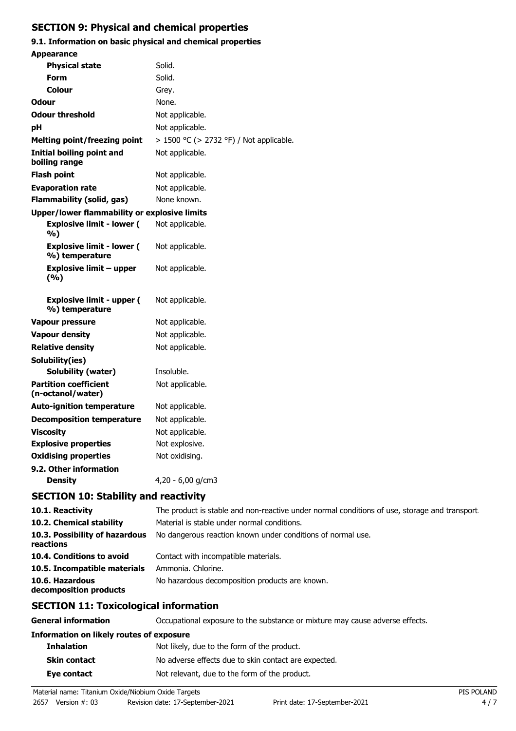# **SECTION 9: Physical and chemical properties**

# **9.1. Information on basic physical and chemical properties**

| <b>Appearance</b>                                  |                                         |
|----------------------------------------------------|-----------------------------------------|
| <b>Physical state</b>                              | Solid.                                  |
| Form                                               | Solid.                                  |
| Colour                                             | Grey.                                   |
| <b>Odour</b>                                       | None.                                   |
| <b>Odour threshold</b>                             | Not applicable.                         |
| рH                                                 | Not applicable.                         |
| <b>Melting point/freezing point</b>                | > 1500 °C (> 2732 °F) / Not applicable. |
| Initial boiling point and<br>boiling range         | Not applicable.                         |
| <b>Flash point</b>                                 | Not applicable.                         |
| <b>Evaporation rate</b>                            | Not applicable.                         |
| <b>Flammability (solid, gas)</b>                   | None known.                             |
| Upper/lower flammability or explosive limits       |                                         |
| <b>Explosive limit - lower (</b><br>%)             | Not applicable.                         |
| <b>Explosive limit - lower (</b><br>%) temperature | Not applicable.                         |
| <b>Explosive limit - upper</b><br>(%)              | Not applicable.                         |
| <b>Explosive limit - upper (</b><br>%) temperature | Not applicable.                         |
| Vapour pressure                                    | Not applicable.                         |
| <b>Vapour density</b>                              | Not applicable.                         |
| <b>Relative density</b>                            | Not applicable.                         |
| Solubility(ies)                                    |                                         |
| Solubility (water)                                 | Insoluble.                              |
| <b>Partition coefficient</b><br>(n-octanol/water)  | Not applicable.                         |
| <b>Auto-ignition temperature</b>                   | Not applicable.                         |
| <b>Decomposition temperature</b>                   | Not applicable.                         |
| <b>Viscosity</b>                                   | Not applicable.                         |
| <b>Explosive properties</b>                        | Not explosive.                          |
| <b>Oxidising properties</b>                        | Not oxidising.                          |
| 9.2. Other information                             |                                         |
| Density                                            | 4,20 - 6,00 g/cm3                       |
| <b>SECTION 10: Stability and reactivity</b>        |                                         |

| 10.1. Reactivity                            | The product is stable and non-reactive under normal conditions of use, storage and transport |
|---------------------------------------------|----------------------------------------------------------------------------------------------|
| 10.2. Chemical stability                    | Material is stable under normal conditions.                                                  |
| 10.3. Possibility of hazardous<br>reactions | No dangerous reaction known under conditions of normal use.                                  |
| 10.4. Conditions to avoid                   | Contact with incompatible materials.                                                         |
| 10.5. Incompatible materials                | Ammonia. Chlorine.                                                                           |
| 10.6. Hazardous<br>decomposition products   | No hazardous decomposition products are known.                                               |

# **SECTION 11: Toxicological information**

**General information CCCUPATION** Occupational exposure to the substance or mixture may cause adverse effects.

| Information on likely routes of exposure |                                                      |  |
|------------------------------------------|------------------------------------------------------|--|
| <b>Inhalation</b>                        | Not likely, due to the form of the product.          |  |
| <b>Skin contact</b>                      | No adverse effects due to skin contact are expected. |  |
| Eye contact                              | Not relevant, due to the form of the product.        |  |
|                                          |                                                      |  |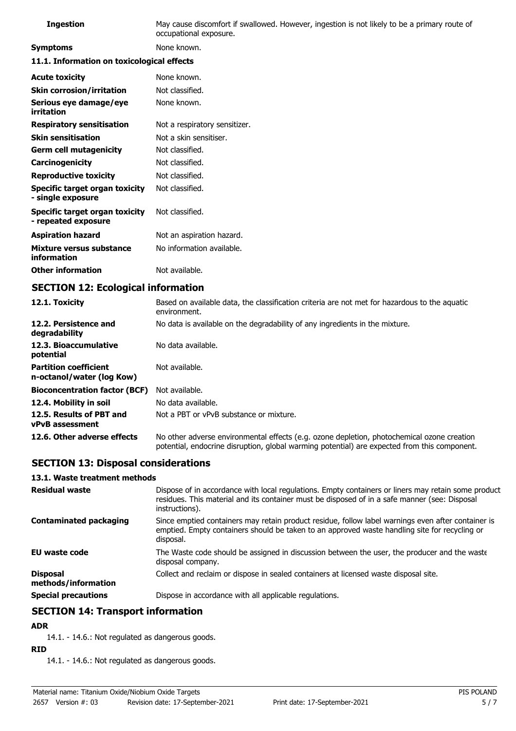| <b>Ingestion</b>                                      | May cause discomfort if swallowed. However, ingestion is not likely to be a primary route of<br>occupational exposure. |  |
|-------------------------------------------------------|------------------------------------------------------------------------------------------------------------------------|--|
| <b>Symptoms</b>                                       | None known.                                                                                                            |  |
| 11.1. Information on toxicological effects            |                                                                                                                        |  |
| <b>Acute toxicity</b>                                 | None known.                                                                                                            |  |
| <b>Skin corrosion/irritation</b>                      | Not classified.                                                                                                        |  |
| Serious eye damage/eye<br>irritation                  | None known.                                                                                                            |  |
| <b>Respiratory sensitisation</b>                      | Not a respiratory sensitizer.                                                                                          |  |
| <b>Skin sensitisation</b>                             | Not a skin sensitiser.                                                                                                 |  |
| <b>Germ cell mutagenicity</b>                         | Not classified.                                                                                                        |  |
| Carcinogenicity                                       | Not classified.                                                                                                        |  |
| <b>Reproductive toxicity</b>                          | Not classified.                                                                                                        |  |
| Specific target organ toxicity<br>- single exposure   | Not classified.                                                                                                        |  |
| Specific target organ toxicity<br>- repeated exposure | Not classified.                                                                                                        |  |
| <b>Aspiration hazard</b>                              | Not an aspiration hazard.                                                                                              |  |
| Mixture versus substance<br>information               | No information available.                                                                                              |  |
| <b>Other information</b>                              | Not available.                                                                                                         |  |

# **SECTION 12: Ecological information**

| 12.1. Toxicity                                            | Based on available data, the classification criteria are not met for hazardous to the aquatic<br>environment.                                                                              |
|-----------------------------------------------------------|--------------------------------------------------------------------------------------------------------------------------------------------------------------------------------------------|
| 12.2. Persistence and<br>degradability                    | No data is available on the degradability of any ingredients in the mixture.                                                                                                               |
| 12.3. Bioaccumulative<br>potential                        | No data available.                                                                                                                                                                         |
| <b>Partition coefficient</b><br>n-octanol/water (log Kow) | Not available.                                                                                                                                                                             |
| <b>Bioconcentration factor (BCF)</b>                      | Not available.                                                                                                                                                                             |
| 12.4. Mobility in soil                                    | No data available.                                                                                                                                                                         |
| 12.5. Results of PBT and<br><b>vPvB</b> assessment        | Not a PBT or vPvB substance or mixture.                                                                                                                                                    |
| 12.6. Other adverse effects                               | No other adverse environmental effects (e.g. ozone depletion, photochemical ozone creation<br>potential, endocrine disruption, global warming potential) are expected from this component. |

# **SECTION 13: Disposal considerations**

### **13.1. Waste treatment methods**

| <b>Residual waste</b>                  | Dispose of in accordance with local regulations. Empty containers or liners may retain some product<br>residues. This material and its container must be disposed of in a safe manner (see: Disposal<br>instructions). |
|----------------------------------------|------------------------------------------------------------------------------------------------------------------------------------------------------------------------------------------------------------------------|
| <b>Contaminated packaging</b>          | Since emptied containers may retain product residue, follow label warnings even after container is<br>emptied. Empty containers should be taken to an approved waste handling site for recycling or<br>disposal.       |
| EU waste code                          | The Waste code should be assigned in discussion between the user, the producer and the waste<br>disposal company.                                                                                                      |
| <b>Disposal</b><br>methods/information | Collect and reclaim or dispose in sealed containers at licensed waste disposal site.                                                                                                                                   |
| <b>Special precautions</b>             | Dispose in accordance with all applicable regulations.                                                                                                                                                                 |

# **SECTION 14: Transport information**

## **ADR**

14.1. - 14.6.: Not regulated as dangerous goods.

### **RID**

14.1. - 14.6.: Not regulated as dangerous goods.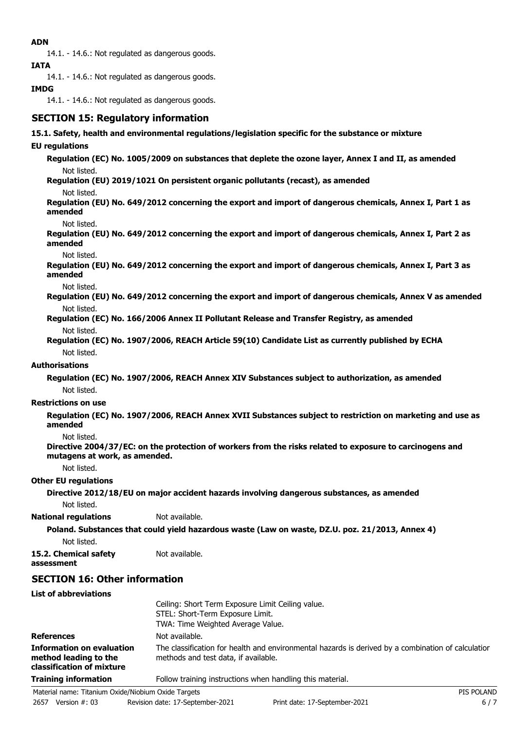### **ADN**

14.1. - 14.6.: Not regulated as dangerous goods.

**IATA**

14.1. - 14.6.: Not regulated as dangerous goods.

### **IMDG**

14.1. - 14.6.: Not regulated as dangerous goods.

## **SECTION 15: Regulatory information**

### **15.1. Safety, health and environmental regulations/legislation specific for the substance or mixture**

### **EU regulations**

**Regulation (EC) No. 1005/2009 on substances that deplete the ozone layer, Annex I and II, as amended** Not listed.

**Regulation (EU) 2019/1021 On persistent organic pollutants (recast), as amended**

Not listed.

**Regulation (EU) No. 649/2012 concerning the export and import of dangerous chemicals, Annex I, Part 1 as amended**

Not listed.

**Regulation (EU) No. 649/2012 concerning the export and import of dangerous chemicals, Annex I, Part 2 as amended**

Not listed.

**Regulation (EU) No. 649/2012 concerning the export and import of dangerous chemicals, Annex I, Part 3 as amended**

Not listed.

**Regulation (EU) No. 649/2012 concerning the export and import of dangerous chemicals, Annex V as amended** Not listed.

**Regulation (EC) No. 166/2006 Annex II Pollutant Release and Transfer Registry, as amended** Not listed.

**Regulation (EC) No. 1907/2006, REACH Article 59(10) Candidate List as currently published by ECHA** Not listed.

### **Authorisations**

**Regulation (EC) No. 1907/2006, REACH Annex XIV Substances subject to authorization, as amended** Not listed.

### **Restrictions on use**

**Regulation (EC) No. 1907/2006, REACH Annex XVII Substances subject to restriction on marketing and use as amended**

Not listed.

**Directive 2004/37/EC: on the protection of workers from the risks related to exposure to carcinogens and mutagens at work, as amended.**

Not listed.

### **Other EU regulations**

**Directive 2012/18/EU on major accident hazards involving dangerous substances, as amended** Not listed.

### **National regulations** Not available.

**Poland. Substances that could yield hazardous waste (Law on waste, DZ.U. poz. 21/2013, Annex 4)** Not listed.

**15.2. Chemical safety** Not available. **assessment**

## **SECTION 16: Other information**

**List of abbreviations**

|                                                                                        | Ceiling: Short Term Exposure Limit Ceiling value.<br>STEL: Short-Term Exposure Limit.<br>TWA: Time Weighted Average Value.                 |
|----------------------------------------------------------------------------------------|--------------------------------------------------------------------------------------------------------------------------------------------|
| <b>References</b>                                                                      | Not available.                                                                                                                             |
| <b>Information on evaluation</b><br>method leading to the<br>classification of mixture | The classification for health and environmental hazards is derived by a combination of calculatior<br>methods and test data, if available. |
| <b>Training information</b>                                                            | Follow training instructions when handling this material.                                                                                  |